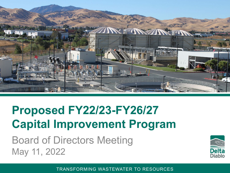

## **Proposed FY22/23-FY26/27 Capital Improvement Program**

Board of Directors Meeting May 11, 2022

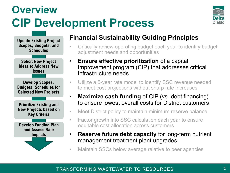### **Overview CIP Development Process**



**Update Existing Project Scopes, Budgets, and Schedules**

**Solicit New Project Ideas to Address New Issues** 

**Develop Scopes, Budgets, Schedules for Selected New Projects**

**Prioritize Existing and New Projects based on Key Criteria**

**Develop Funding Plan and Assess Rate Impacts**

#### **Financial Sustainability Guiding Principles**

- Critically review operating budget each year to identify budget adjustment needs and opportunities
- **Ensure effective prioritization** of a capital improvement program (CIP) that addresses critical infrastructure needs
- Utilize a 5-year rate model to identify SSC revenue needed to meet cost projections without sharp rate increases
- **Maximize cash funding** of CIP (vs. debt financing) to ensure lowest overall costs for District customers
- Meet District policy to maintain minimum reserve balance
- Factor growth into SSC calculation each year to ensure equitable cost allocation across customers
- **Reserve future debt capacity** for long-term nutrient management treatment plant upgrades
- Maintain SSCs below average relative to peer agencies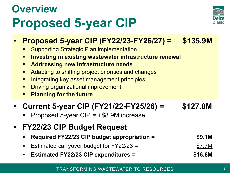## **Overview Proposed 5-year CIP**



- **Proposed 5-year CIP (FY22/23-FY26/27) = \$135.9M**
	- Supporting Strategic Plan implementation
	- **EXTE: Investing in existing wastewater infrastructure renewal**
	- **Addressing new infrastructure needs**
	- **Adapting to shifting project priorities and changes**
	- **Integrating key asset management principles**
	- **Driving organizational improvement**
	- **Planning for the future**

#### • **Current 5-year CIP (FY21/22-FY25/26) = \$127.0M**

- Proposed 5-year CIP = +\$8.9M increase
- **FY22/23 CIP Budget Request**
	- **Required FY22/23 CIP budget appropriation = \$9.1M**
	- Estimated carryover budget for FY22/23 = \$7.7M
	- **Estimated FY22/23 CIP expenditures = \$16.8M**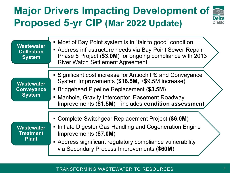#### **Major Drivers Impacting Development of**  Delta **Proposed 5-yr CIP (Mar 2022 Update) Diahlo**

| <b>Wastewater</b><br><b>Collection</b><br><b>System</b> | • Most of Bay Point system is in "fair to good" condition<br>Address infrastructure needs via Bay Point Sewer Repair<br>Phase 5 Project (\$3.0M) for ongoing compliance with 2013<br><b>River Watch Settlement Agreement</b>                                          |
|---------------------------------------------------------|-----------------------------------------------------------------------------------------------------------------------------------------------------------------------------------------------------------------------------------------------------------------------|
| <b>Wastewater</b><br><b>Conveyance</b><br><b>System</b> | • Significant cost increase for Antioch PS and Conveyance<br>System Improvements (\$18.5M, +\$9.5M increase)<br>• Bridgehead Pipeline Replacement (\$3.5M)<br>• Manhole, Gravity Interceptor, Easement Roadway<br>Improvements (\$1.5M)—includes condition assessment |
| <b>Wastewater</b><br><b>Treatment</b><br><b>Plant</b>   | • Complete Switchgear Replacement Project (\$6.0M)<br>• Initiate Digester Gas Handling and Cogeneration Engine<br>Improvements (\$7.0M)<br>• Address significant regulatory compliance vulnerability<br>via Secondary Process Improvements (\$60M)                    |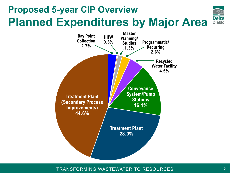### **Proposed 5-year CIP Overview Planned Expenditures by Major Area**



TRANSFORMING WASTEWATER TO RESOURCES

Delta<br>Diablo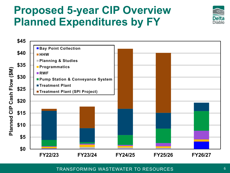### **Proposed 5-year CIP Overview Planned Expenditures by FY**



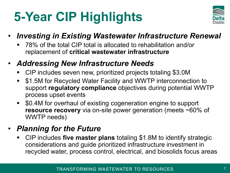# **5-Year CIP Highlights**



#### • *Investing in Existing Wastewater Infrastructure Renewal*

- 78% of the total CIP total is allocated to rehabilitation and/or replacement of **critical wastewater infrastructure**
- *Addressing New Infrastructure Needs*
	- CIP includes seven new, prioritized projects totaling \$3.0M
	- \$1.5M for Recycled Water Facility and WWTP interconnection to support **regulatory compliance** objectives during potential WWTP process upset events
	- \$0.4M for overhaul of existing cogeneration engine to support **resource recovery** via on-site power generation (meets ~60% of WWTP needs)

#### • *Planning for the Future*

 CIP includes **five master plans** totaling \$1.8M to identify strategic considerations and guide prioritized infrastructure investment in recycled water, process control, electrical, and biosolids focus areas